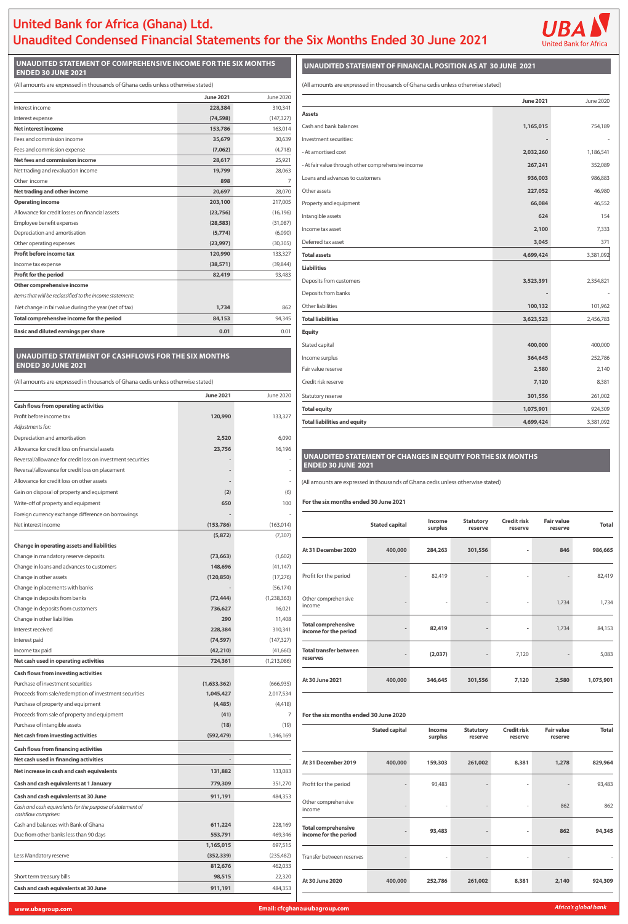# **United Bank for Africa (Ghana) Ltd. Unaudited Condensed Financial Statements for the Six Months Ended 30 June 2021**



#### **UNAUDITED STATEMENT OF COMPREHENSIVE INCOME FOR THE SIX MONTHS ENDED 30 JUNE 2021**

| (All amounts are expressed in thousands of Ghana cedis unless otherwise stated) |  |  |
|---------------------------------------------------------------------------------|--|--|
|---------------------------------------------------------------------------------|--|--|

## **UNAUDITED STATEMENT OF FINANCIAL POSITION AS AT 30 JUNE 2021**

(All amounts are expressed in thousands of Ghana cedis unless otherwise stated)

|                                                          | <b>June 2021</b> | June 2020  |
|----------------------------------------------------------|------------------|------------|
| Interest income                                          | 228,384          | 310,341    |
| Interest expense                                         | (74, 598)        | (147, 327) |
| <b>Net interest income</b>                               | 153,786          | 163,014    |
| Fees and commission income                               | 35,679           | 30,639     |
| Fees and commission expense                              | (7,062)          | (4,718)    |
| <b>Net fees and commission income</b>                    | 28,617           | 25,921     |
| Net trading and revaluation income                       | 19,799           | 28,063     |
| Other income                                             | 898              | 7          |
| Net trading and other income                             | 20,697           | 28,070     |
| <b>Operating income</b>                                  | 203,100          | 217,005    |
| Allowance for credit losses on financial assets          | (23, 756)        | (16, 196)  |
| Employee benefit expenses                                | (28, 583)        | (31,087)   |
| Depreciation and amortisation                            | (5,774)          | (6,090)    |
| Other operating expenses                                 | (23,997)         | (30, 305)  |
| Profit before income tax                                 | 120,990          | 133,327    |
| Income tax expense                                       | (38, 571)        | (39, 844)  |
| <b>Profit for the period</b>                             | 82,419           | 93,483     |
| Other comprehensive income                               |                  |            |
| Items that will be reclassified to the income statement: |                  |            |
| Net change in fair value during the year (net of tax)    | 1,734            | 862        |
| Total comprehensive income for the period                | 84,153           | 94,345     |
| <b>Basic and diluted earnings per share</b>              | 0.01             | 0.01       |

|                                                    | <b>June 2021</b> | June 2020 |
|----------------------------------------------------|------------------|-----------|
| <b>Assets</b>                                      |                  |           |
| Cash and bank balances                             | 1,165,015        | 754,189   |
| Investment securities:                             |                  |           |
| - At amortised cost                                | 2,032,260        | 1,186,541 |
| - At fair value through other comprehensive income | 267,241          | 352,089   |
| Loans and advances to customers                    | 936,003          | 986,883   |
| Other assets                                       | 227,052          | 46,980    |
| Property and equipment                             | 66,084           | 46,552    |
| Intangible assets                                  | 624              | 154       |
| Income tax asset                                   | 2,100            | 7,333     |
| Deferred tax asset                                 | 3,045            | 371       |
| <b>Total assets</b>                                | 4,699,424        | 3,381,092 |
| <b>Liabilities</b>                                 |                  |           |
| Deposits from customers                            | 3,523,391        | 2,354,821 |
| Deposits from banks                                |                  |           |
| Other liabilities                                  | 100,132          | 101,962   |
| <b>Total liabilities</b>                           | 3,623,523        | 2,456,783 |
| <b>Equity</b>                                      |                  |           |
| Stated capital                                     | 400,000          | 400,000   |
| Income surplus                                     | 364,645          | 252,786   |
| Fair value reserve                                 | 2,580            | 2,140     |
| Credit risk reserve                                | 7,120            | 8,381     |
| Statutory reserve                                  | 301,556          | 261,002   |
| <b>Total equity</b>                                | 1,075,901        | 924,309   |
| <b>Total liabilities and equity</b>                | 4,699,424        | 3,381,092 |

| <b>Total</b><br>(153, 786)<br>(163, 014)<br>Net interest income<br>surplus<br>reserve<br>reserve<br>reserve<br>(7, 307)<br>(5,872)<br><b>Change in operating assets and liabilities</b><br>At 31 December 2020<br>400,000<br>284,263<br>301,556<br>846<br>986,665<br>Change in mandatory reserve deposits<br>(1,602)<br>(73, 663)<br>Change in loans and advances to customers<br>(41, 147)<br>148,696<br>Profit for the period<br>82,419<br>82,419<br>(120, 850)<br>(17, 276)<br>Change in other assets<br>Change in placements with banks<br>(56, 174)<br>Change in deposits from banks<br>(72, 444)<br>(1, 238, 363)<br>Other comprehensive<br>1,734<br>1,734<br>income<br>16,021<br>Change in deposits from customers<br>736,627<br>Change in other liabilities<br>11,408<br>290<br><b>Total comprehensive</b><br>82,419<br>84,153<br>1,734<br>Interest received<br>228,384<br>310,341<br>income for the period<br>(147, 327)<br>Interest paid<br>(74, 597)<br>Income tax paid<br>(42, 210)<br>(41,660)<br><b>Total transfer between</b><br>(2,037)<br>5,083<br>7,120<br>reserves<br>724,361<br>Net cash used in operating activities<br>(1,213,086)<br><b>Cash flows from investing activities</b><br>400,000<br>2,580<br>At 30 June 2021<br>346,645<br>301,556<br>7,120<br>1,075,901<br>Purchase of investment securities<br>(666, 935)<br>(1,633,362)<br>Proceeds from sale/redemption of investment securities<br>1,045,427<br>2,017,534<br>Purchase of property and equipment<br>(4, 418)<br>(4, 485)<br>Proceeds from sale of property and equipment<br>(41)<br>For the six months ended 30 June 2020<br>7<br>Purchase of intangible assets<br>(19)<br>(18)<br><b>Credit risk</b><br><b>Fair value</b><br><b>Total</b><br><b>Stated capital</b><br>Income<br><b>Statutory</b><br>Net cash from investing activities<br>(592, 479)<br>1,346,169<br>surplus<br>reserve<br>reserve<br>reserve<br><b>Cash flows from financing activities</b><br>Net cash used in financing activities<br>At 31 December 2019<br>400,000<br>159,303<br>261,002<br>8,381<br>1,278<br>829,964<br>Net increase in cash and cash equivalents<br>133,083<br>131,882<br>Cash and cash equivalents at 1 January<br>779,309<br>351,270<br>Profit for the period<br>93,483<br>93,483<br>Cash and cash equivalents at 30 June<br>911,191<br>484,353<br>Other comprehensive<br>862<br>862<br>Cash and cash equivalents for the purpose of statement of<br>income<br>cashflow comprises:<br>Cash and balances with Bank of Ghana<br>228,169<br>611,224<br><b>Total comprehensive</b><br>862<br>94,345<br>93,483<br>469,346<br>income for the period<br>Due from other banks less than 90 days<br>553,791<br>697,515<br>1,165,015<br>Less Mandatory reserve<br>(352, 339)<br>(235, 482)<br>Transfer between reserves<br>462,033<br>812,676<br>Short term treasury bills<br>98,515<br>22,320<br>At 30 June 2020<br>400,000<br>252,786<br>8,381<br>2,140<br>261,002<br>924,309<br>Cash and cash equivalents at 30 June<br>911,191<br>484,353 | Foreign currency exchange difference on borrowings |  |                       | Income |                  | <b>Credit risk</b> | <b>Fair value</b> |  |
|---------------------------------------------------------------------------------------------------------------------------------------------------------------------------------------------------------------------------------------------------------------------------------------------------------------------------------------------------------------------------------------------------------------------------------------------------------------------------------------------------------------------------------------------------------------------------------------------------------------------------------------------------------------------------------------------------------------------------------------------------------------------------------------------------------------------------------------------------------------------------------------------------------------------------------------------------------------------------------------------------------------------------------------------------------------------------------------------------------------------------------------------------------------------------------------------------------------------------------------------------------------------------------------------------------------------------------------------------------------------------------------------------------------------------------------------------------------------------------------------------------------------------------------------------------------------------------------------------------------------------------------------------------------------------------------------------------------------------------------------------------------------------------------------------------------------------------------------------------------------------------------------------------------------------------------------------------------------------------------------------------------------------------------------------------------------------------------------------------------------------------------------------------------------------------------------------------------------------------------------------------------------------------------------------------------------------------------------------------------------------------------------------------------------------------------------------------------------------------------------------------------------------------------------------------------------------------------------------------------------------------------------------------------------------------------------------------------------------------------------------------------------------------------------------------------------------------------------------------------------------------------------------------------------------------------------------------------------------------------------------------------------|----------------------------------------------------|--|-----------------------|--------|------------------|--------------------|-------------------|--|
|                                                                                                                                                                                                                                                                                                                                                                                                                                                                                                                                                                                                                                                                                                                                                                                                                                                                                                                                                                                                                                                                                                                                                                                                                                                                                                                                                                                                                                                                                                                                                                                                                                                                                                                                                                                                                                                                                                                                                                                                                                                                                                                                                                                                                                                                                                                                                                                                                                                                                                                                                                                                                                                                                                                                                                                                                                                                                                                                                                                                                     |                                                    |  | <b>Stated capital</b> |        | <b>Statutory</b> |                    |                   |  |
|                                                                                                                                                                                                                                                                                                                                                                                                                                                                                                                                                                                                                                                                                                                                                                                                                                                                                                                                                                                                                                                                                                                                                                                                                                                                                                                                                                                                                                                                                                                                                                                                                                                                                                                                                                                                                                                                                                                                                                                                                                                                                                                                                                                                                                                                                                                                                                                                                                                                                                                                                                                                                                                                                                                                                                                                                                                                                                                                                                                                                     |                                                    |  |                       |        |                  |                    |                   |  |
|                                                                                                                                                                                                                                                                                                                                                                                                                                                                                                                                                                                                                                                                                                                                                                                                                                                                                                                                                                                                                                                                                                                                                                                                                                                                                                                                                                                                                                                                                                                                                                                                                                                                                                                                                                                                                                                                                                                                                                                                                                                                                                                                                                                                                                                                                                                                                                                                                                                                                                                                                                                                                                                                                                                                                                                                                                                                                                                                                                                                                     |                                                    |  |                       |        |                  |                    |                   |  |
|                                                                                                                                                                                                                                                                                                                                                                                                                                                                                                                                                                                                                                                                                                                                                                                                                                                                                                                                                                                                                                                                                                                                                                                                                                                                                                                                                                                                                                                                                                                                                                                                                                                                                                                                                                                                                                                                                                                                                                                                                                                                                                                                                                                                                                                                                                                                                                                                                                                                                                                                                                                                                                                                                                                                                                                                                                                                                                                                                                                                                     |                                                    |  |                       |        |                  |                    |                   |  |
|                                                                                                                                                                                                                                                                                                                                                                                                                                                                                                                                                                                                                                                                                                                                                                                                                                                                                                                                                                                                                                                                                                                                                                                                                                                                                                                                                                                                                                                                                                                                                                                                                                                                                                                                                                                                                                                                                                                                                                                                                                                                                                                                                                                                                                                                                                                                                                                                                                                                                                                                                                                                                                                                                                                                                                                                                                                                                                                                                                                                                     |                                                    |  |                       |        |                  |                    |                   |  |
|                                                                                                                                                                                                                                                                                                                                                                                                                                                                                                                                                                                                                                                                                                                                                                                                                                                                                                                                                                                                                                                                                                                                                                                                                                                                                                                                                                                                                                                                                                                                                                                                                                                                                                                                                                                                                                                                                                                                                                                                                                                                                                                                                                                                                                                                                                                                                                                                                                                                                                                                                                                                                                                                                                                                                                                                                                                                                                                                                                                                                     |                                                    |  |                       |        |                  |                    |                   |  |
|                                                                                                                                                                                                                                                                                                                                                                                                                                                                                                                                                                                                                                                                                                                                                                                                                                                                                                                                                                                                                                                                                                                                                                                                                                                                                                                                                                                                                                                                                                                                                                                                                                                                                                                                                                                                                                                                                                                                                                                                                                                                                                                                                                                                                                                                                                                                                                                                                                                                                                                                                                                                                                                                                                                                                                                                                                                                                                                                                                                                                     |                                                    |  |                       |        |                  |                    |                   |  |
|                                                                                                                                                                                                                                                                                                                                                                                                                                                                                                                                                                                                                                                                                                                                                                                                                                                                                                                                                                                                                                                                                                                                                                                                                                                                                                                                                                                                                                                                                                                                                                                                                                                                                                                                                                                                                                                                                                                                                                                                                                                                                                                                                                                                                                                                                                                                                                                                                                                                                                                                                                                                                                                                                                                                                                                                                                                                                                                                                                                                                     |                                                    |  |                       |        |                  |                    |                   |  |
|                                                                                                                                                                                                                                                                                                                                                                                                                                                                                                                                                                                                                                                                                                                                                                                                                                                                                                                                                                                                                                                                                                                                                                                                                                                                                                                                                                                                                                                                                                                                                                                                                                                                                                                                                                                                                                                                                                                                                                                                                                                                                                                                                                                                                                                                                                                                                                                                                                                                                                                                                                                                                                                                                                                                                                                                                                                                                                                                                                                                                     |                                                    |  |                       |        |                  |                    |                   |  |
|                                                                                                                                                                                                                                                                                                                                                                                                                                                                                                                                                                                                                                                                                                                                                                                                                                                                                                                                                                                                                                                                                                                                                                                                                                                                                                                                                                                                                                                                                                                                                                                                                                                                                                                                                                                                                                                                                                                                                                                                                                                                                                                                                                                                                                                                                                                                                                                                                                                                                                                                                                                                                                                                                                                                                                                                                                                                                                                                                                                                                     |                                                    |  |                       |        |                  |                    |                   |  |
|                                                                                                                                                                                                                                                                                                                                                                                                                                                                                                                                                                                                                                                                                                                                                                                                                                                                                                                                                                                                                                                                                                                                                                                                                                                                                                                                                                                                                                                                                                                                                                                                                                                                                                                                                                                                                                                                                                                                                                                                                                                                                                                                                                                                                                                                                                                                                                                                                                                                                                                                                                                                                                                                                                                                                                                                                                                                                                                                                                                                                     |                                                    |  |                       |        |                  |                    |                   |  |
|                                                                                                                                                                                                                                                                                                                                                                                                                                                                                                                                                                                                                                                                                                                                                                                                                                                                                                                                                                                                                                                                                                                                                                                                                                                                                                                                                                                                                                                                                                                                                                                                                                                                                                                                                                                                                                                                                                                                                                                                                                                                                                                                                                                                                                                                                                                                                                                                                                                                                                                                                                                                                                                                                                                                                                                                                                                                                                                                                                                                                     |                                                    |  |                       |        |                  |                    |                   |  |
|                                                                                                                                                                                                                                                                                                                                                                                                                                                                                                                                                                                                                                                                                                                                                                                                                                                                                                                                                                                                                                                                                                                                                                                                                                                                                                                                                                                                                                                                                                                                                                                                                                                                                                                                                                                                                                                                                                                                                                                                                                                                                                                                                                                                                                                                                                                                                                                                                                                                                                                                                                                                                                                                                                                                                                                                                                                                                                                                                                                                                     |                                                    |  |                       |        |                  |                    |                   |  |
|                                                                                                                                                                                                                                                                                                                                                                                                                                                                                                                                                                                                                                                                                                                                                                                                                                                                                                                                                                                                                                                                                                                                                                                                                                                                                                                                                                                                                                                                                                                                                                                                                                                                                                                                                                                                                                                                                                                                                                                                                                                                                                                                                                                                                                                                                                                                                                                                                                                                                                                                                                                                                                                                                                                                                                                                                                                                                                                                                                                                                     |                                                    |  |                       |        |                  |                    |                   |  |
|                                                                                                                                                                                                                                                                                                                                                                                                                                                                                                                                                                                                                                                                                                                                                                                                                                                                                                                                                                                                                                                                                                                                                                                                                                                                                                                                                                                                                                                                                                                                                                                                                                                                                                                                                                                                                                                                                                                                                                                                                                                                                                                                                                                                                                                                                                                                                                                                                                                                                                                                                                                                                                                                                                                                                                                                                                                                                                                                                                                                                     |                                                    |  |                       |        |                  |                    |                   |  |
|                                                                                                                                                                                                                                                                                                                                                                                                                                                                                                                                                                                                                                                                                                                                                                                                                                                                                                                                                                                                                                                                                                                                                                                                                                                                                                                                                                                                                                                                                                                                                                                                                                                                                                                                                                                                                                                                                                                                                                                                                                                                                                                                                                                                                                                                                                                                                                                                                                                                                                                                                                                                                                                                                                                                                                                                                                                                                                                                                                                                                     |                                                    |  |                       |        |                  |                    |                   |  |
|                                                                                                                                                                                                                                                                                                                                                                                                                                                                                                                                                                                                                                                                                                                                                                                                                                                                                                                                                                                                                                                                                                                                                                                                                                                                                                                                                                                                                                                                                                                                                                                                                                                                                                                                                                                                                                                                                                                                                                                                                                                                                                                                                                                                                                                                                                                                                                                                                                                                                                                                                                                                                                                                                                                                                                                                                                                                                                                                                                                                                     |                                                    |  |                       |        |                  |                    |                   |  |
|                                                                                                                                                                                                                                                                                                                                                                                                                                                                                                                                                                                                                                                                                                                                                                                                                                                                                                                                                                                                                                                                                                                                                                                                                                                                                                                                                                                                                                                                                                                                                                                                                                                                                                                                                                                                                                                                                                                                                                                                                                                                                                                                                                                                                                                                                                                                                                                                                                                                                                                                                                                                                                                                                                                                                                                                                                                                                                                                                                                                                     |                                                    |  |                       |        |                  |                    |                   |  |
|                                                                                                                                                                                                                                                                                                                                                                                                                                                                                                                                                                                                                                                                                                                                                                                                                                                                                                                                                                                                                                                                                                                                                                                                                                                                                                                                                                                                                                                                                                                                                                                                                                                                                                                                                                                                                                                                                                                                                                                                                                                                                                                                                                                                                                                                                                                                                                                                                                                                                                                                                                                                                                                                                                                                                                                                                                                                                                                                                                                                                     |                                                    |  |                       |        |                  |                    |                   |  |
|                                                                                                                                                                                                                                                                                                                                                                                                                                                                                                                                                                                                                                                                                                                                                                                                                                                                                                                                                                                                                                                                                                                                                                                                                                                                                                                                                                                                                                                                                                                                                                                                                                                                                                                                                                                                                                                                                                                                                                                                                                                                                                                                                                                                                                                                                                                                                                                                                                                                                                                                                                                                                                                                                                                                                                                                                                                                                                                                                                                                                     |                                                    |  |                       |        |                  |                    |                   |  |
|                                                                                                                                                                                                                                                                                                                                                                                                                                                                                                                                                                                                                                                                                                                                                                                                                                                                                                                                                                                                                                                                                                                                                                                                                                                                                                                                                                                                                                                                                                                                                                                                                                                                                                                                                                                                                                                                                                                                                                                                                                                                                                                                                                                                                                                                                                                                                                                                                                                                                                                                                                                                                                                                                                                                                                                                                                                                                                                                                                                                                     |                                                    |  |                       |        |                  |                    |                   |  |
|                                                                                                                                                                                                                                                                                                                                                                                                                                                                                                                                                                                                                                                                                                                                                                                                                                                                                                                                                                                                                                                                                                                                                                                                                                                                                                                                                                                                                                                                                                                                                                                                                                                                                                                                                                                                                                                                                                                                                                                                                                                                                                                                                                                                                                                                                                                                                                                                                                                                                                                                                                                                                                                                                                                                                                                                                                                                                                                                                                                                                     |                                                    |  |                       |        |                  |                    |                   |  |
|                                                                                                                                                                                                                                                                                                                                                                                                                                                                                                                                                                                                                                                                                                                                                                                                                                                                                                                                                                                                                                                                                                                                                                                                                                                                                                                                                                                                                                                                                                                                                                                                                                                                                                                                                                                                                                                                                                                                                                                                                                                                                                                                                                                                                                                                                                                                                                                                                                                                                                                                                                                                                                                                                                                                                                                                                                                                                                                                                                                                                     |                                                    |  |                       |        |                  |                    |                   |  |
|                                                                                                                                                                                                                                                                                                                                                                                                                                                                                                                                                                                                                                                                                                                                                                                                                                                                                                                                                                                                                                                                                                                                                                                                                                                                                                                                                                                                                                                                                                                                                                                                                                                                                                                                                                                                                                                                                                                                                                                                                                                                                                                                                                                                                                                                                                                                                                                                                                                                                                                                                                                                                                                                                                                                                                                                                                                                                                                                                                                                                     |                                                    |  |                       |        |                  |                    |                   |  |
|                                                                                                                                                                                                                                                                                                                                                                                                                                                                                                                                                                                                                                                                                                                                                                                                                                                                                                                                                                                                                                                                                                                                                                                                                                                                                                                                                                                                                                                                                                                                                                                                                                                                                                                                                                                                                                                                                                                                                                                                                                                                                                                                                                                                                                                                                                                                                                                                                                                                                                                                                                                                                                                                                                                                                                                                                                                                                                                                                                                                                     |                                                    |  |                       |        |                  |                    |                   |  |
|                                                                                                                                                                                                                                                                                                                                                                                                                                                                                                                                                                                                                                                                                                                                                                                                                                                                                                                                                                                                                                                                                                                                                                                                                                                                                                                                                                                                                                                                                                                                                                                                                                                                                                                                                                                                                                                                                                                                                                                                                                                                                                                                                                                                                                                                                                                                                                                                                                                                                                                                                                                                                                                                                                                                                                                                                                                                                                                                                                                                                     |                                                    |  |                       |        |                  |                    |                   |  |
|                                                                                                                                                                                                                                                                                                                                                                                                                                                                                                                                                                                                                                                                                                                                                                                                                                                                                                                                                                                                                                                                                                                                                                                                                                                                                                                                                                                                                                                                                                                                                                                                                                                                                                                                                                                                                                                                                                                                                                                                                                                                                                                                                                                                                                                                                                                                                                                                                                                                                                                                                                                                                                                                                                                                                                                                                                                                                                                                                                                                                     |                                                    |  |                       |        |                  |                    |                   |  |
|                                                                                                                                                                                                                                                                                                                                                                                                                                                                                                                                                                                                                                                                                                                                                                                                                                                                                                                                                                                                                                                                                                                                                                                                                                                                                                                                                                                                                                                                                                                                                                                                                                                                                                                                                                                                                                                                                                                                                                                                                                                                                                                                                                                                                                                                                                                                                                                                                                                                                                                                                                                                                                                                                                                                                                                                                                                                                                                                                                                                                     |                                                    |  |                       |        |                  |                    |                   |  |
|                                                                                                                                                                                                                                                                                                                                                                                                                                                                                                                                                                                                                                                                                                                                                                                                                                                                                                                                                                                                                                                                                                                                                                                                                                                                                                                                                                                                                                                                                                                                                                                                                                                                                                                                                                                                                                                                                                                                                                                                                                                                                                                                                                                                                                                                                                                                                                                                                                                                                                                                                                                                                                                                                                                                                                                                                                                                                                                                                                                                                     |                                                    |  |                       |        |                  |                    |                   |  |
|                                                                                                                                                                                                                                                                                                                                                                                                                                                                                                                                                                                                                                                                                                                                                                                                                                                                                                                                                                                                                                                                                                                                                                                                                                                                                                                                                                                                                                                                                                                                                                                                                                                                                                                                                                                                                                                                                                                                                                                                                                                                                                                                                                                                                                                                                                                                                                                                                                                                                                                                                                                                                                                                                                                                                                                                                                                                                                                                                                                                                     |                                                    |  |                       |        |                  |                    |                   |  |
|                                                                                                                                                                                                                                                                                                                                                                                                                                                                                                                                                                                                                                                                                                                                                                                                                                                                                                                                                                                                                                                                                                                                                                                                                                                                                                                                                                                                                                                                                                                                                                                                                                                                                                                                                                                                                                                                                                                                                                                                                                                                                                                                                                                                                                                                                                                                                                                                                                                                                                                                                                                                                                                                                                                                                                                                                                                                                                                                                                                                                     |                                                    |  |                       |        |                  |                    |                   |  |
|                                                                                                                                                                                                                                                                                                                                                                                                                                                                                                                                                                                                                                                                                                                                                                                                                                                                                                                                                                                                                                                                                                                                                                                                                                                                                                                                                                                                                                                                                                                                                                                                                                                                                                                                                                                                                                                                                                                                                                                                                                                                                                                                                                                                                                                                                                                                                                                                                                                                                                                                                                                                                                                                                                                                                                                                                                                                                                                                                                                                                     |                                                    |  |                       |        |                  |                    |                   |  |
|                                                                                                                                                                                                                                                                                                                                                                                                                                                                                                                                                                                                                                                                                                                                                                                                                                                                                                                                                                                                                                                                                                                                                                                                                                                                                                                                                                                                                                                                                                                                                                                                                                                                                                                                                                                                                                                                                                                                                                                                                                                                                                                                                                                                                                                                                                                                                                                                                                                                                                                                                                                                                                                                                                                                                                                                                                                                                                                                                                                                                     |                                                    |  |                       |        |                  |                    |                   |  |
|                                                                                                                                                                                                                                                                                                                                                                                                                                                                                                                                                                                                                                                                                                                                                                                                                                                                                                                                                                                                                                                                                                                                                                                                                                                                                                                                                                                                                                                                                                                                                                                                                                                                                                                                                                                                                                                                                                                                                                                                                                                                                                                                                                                                                                                                                                                                                                                                                                                                                                                                                                                                                                                                                                                                                                                                                                                                                                                                                                                                                     |                                                    |  |                       |        |                  |                    |                   |  |
|                                                                                                                                                                                                                                                                                                                                                                                                                                                                                                                                                                                                                                                                                                                                                                                                                                                                                                                                                                                                                                                                                                                                                                                                                                                                                                                                                                                                                                                                                                                                                                                                                                                                                                                                                                                                                                                                                                                                                                                                                                                                                                                                                                                                                                                                                                                                                                                                                                                                                                                                                                                                                                                                                                                                                                                                                                                                                                                                                                                                                     |                                                    |  |                       |        |                  |                    |                   |  |

|                                                                                  | <b>June 2021</b>         | <b>June 2020</b> | Statutory reserve                                                               |                       |                   |                             |                               | 301,556                      | 261,002              |
|----------------------------------------------------------------------------------|--------------------------|------------------|---------------------------------------------------------------------------------|-----------------------|-------------------|-----------------------------|-------------------------------|------------------------------|----------------------|
| <b>Cash flows from operating activities</b>                                      |                          |                  | <b>Total equity</b>                                                             |                       | 1,075,901         |                             | 924,309                       |                              |                      |
| Profit before income tax                                                         | 120,990                  | 133,327          | <b>Total liabilities and equity</b>                                             |                       |                   | 4,699,424                   | 3,381,092                     |                              |                      |
| Adjustments for:                                                                 |                          |                  |                                                                                 |                       |                   |                             |                               |                              |                      |
| Depreciation and amortisation                                                    | 2,520                    | 6,090            |                                                                                 |                       |                   |                             |                               |                              |                      |
| Allowance for credit loss on financial assets                                    | 23,756                   | 16,196           |                                                                                 |                       |                   |                             |                               |                              |                      |
| Reversal/allowance for credit loss on investment securities                      |                          |                  | UNAUDITED STATEMENT OF CHANGES IN EQUITY FOR THE SIX MONTHS                     |                       |                   |                             |                               |                              |                      |
| Reversal/allowance for credit loss on placement                                  |                          |                  | <b>ENDED 30 JUNE 2021</b>                                                       |                       |                   |                             |                               |                              |                      |
| Allowance for credit loss on other assets                                        |                          |                  | (All amounts are expressed in thousands of Ghana cedis unless otherwise stated) |                       |                   |                             |                               |                              |                      |
| Gain on disposal of property and equipment                                       | (2)                      | (6)              |                                                                                 |                       |                   |                             |                               |                              |                      |
| Write-off of property and equipment                                              | 650                      | 100              | For the six months ended 30 June 2021                                           |                       |                   |                             |                               |                              |                      |
| Foreign currency exchange difference on borrowings                               |                          |                  |                                                                                 |                       |                   |                             |                               |                              |                      |
| Net interest income                                                              | (153, 786)               | (163, 014)       |                                                                                 | <b>Stated capital</b> | Income<br>surplus | <b>Statutory</b><br>reserve | <b>Credit risk</b><br>reserve | <b>Fair value</b><br>reserve | <b>Total</b>         |
|                                                                                  | (5,872)                  | (7, 307)         |                                                                                 |                       |                   |                             |                               |                              |                      |
| <b>Change in operating assets and liabilities</b>                                |                          |                  | At 31 December 2020                                                             | 400,000               | 284,263           | 301,556                     |                               | 846                          | 986,665              |
| Change in mandatory reserve deposits                                             | (73, 663)                | (1,602)          |                                                                                 |                       |                   |                             |                               |                              |                      |
| Change in loans and advances to customers                                        | 148,696                  | (41, 147)        |                                                                                 |                       |                   |                             |                               |                              |                      |
| Change in other assets                                                           | (120, 850)               | (17, 276)        | Profit for the period                                                           |                       | 82,419            |                             |                               |                              | 82,419               |
| Change in placements with banks                                                  |                          | (56, 174)        |                                                                                 |                       |                   |                             |                               |                              |                      |
| Change in deposits from banks                                                    | (72, 444)                | (1, 238, 363)    | Other comprehensive                                                             |                       |                   |                             |                               | 1,734                        | 1,734                |
| Change in deposits from customers                                                | 736,627                  | 16,021           | income                                                                          |                       |                   |                             |                               |                              |                      |
| Change in other liabilities                                                      | 290                      | 11,408           |                                                                                 |                       |                   |                             |                               |                              |                      |
| Interest received                                                                | 228,384                  | 310,341          | <b>Total comprehensive</b><br>income for the period                             |                       | 82,419            |                             |                               | 1,734                        | 84,153               |
| Interest paid                                                                    | (74, 597)                | (147, 327)       |                                                                                 |                       |                   |                             |                               |                              |                      |
| Income tax paid                                                                  | (42, 210)                | (41,660)         | <b>Total transfer between</b>                                                   |                       | (2,037)           |                             | 7,120                         |                              | 5,083                |
| Net cash used in operating activities                                            | 724,361                  | (1,213,086)      | reserves                                                                        |                       |                   |                             |                               |                              |                      |
| <b>Cash flows from investing activities</b>                                      |                          |                  |                                                                                 |                       |                   |                             |                               |                              |                      |
| Purchase of investment securities                                                | (1,633,362)              | (666, 935)       | At 30 June 2021                                                                 | 400,000               | 346,645           | 301,556                     | 7,120                         | 2,580                        | 1,075,901            |
| Proceeds from sale/redemption of investment securities                           | 1,045,427                | 2,017,534        |                                                                                 |                       |                   |                             |                               |                              |                      |
| Purchase of property and equipment                                               | (4, 485)                 | (4, 418)         |                                                                                 |                       |                   |                             |                               |                              |                      |
| Proceeds from sale of property and equipment                                     | (41)                     | 7                | For the six months ended 30 June 2020                                           |                       |                   |                             |                               |                              |                      |
| Purchase of intangible assets                                                    | (18)                     | (19)             |                                                                                 | <b>Stated capital</b> |                   |                             | <b>Credit risk</b>            | <b>Fair value</b>            |                      |
| Net cash from investing activities                                               | (592, 479)               | 1,346,169        |                                                                                 |                       | Income<br>surplus | <b>Statutory</b><br>reserve | reserve                       | reserve                      | <b>Total</b>         |
| <b>Cash flows from financing activities</b>                                      |                          |                  |                                                                                 |                       |                   |                             |                               |                              |                      |
| Net cash used in financing activities                                            | $\overline{\phantom{a}}$ |                  | At 31 December 2019                                                             | 400,000               | 159,303           | 261,002                     | 8,381                         | 1,278                        | 829,964              |
| Net increase in cash and cash equivalents                                        | 131,882                  | 133,083          |                                                                                 |                       |                   |                             |                               |                              |                      |
| Cash and cash equivalents at 1 January                                           | 779,309                  | 351,270          | Profit for the period                                                           |                       | 93,483            |                             |                               |                              | 93,483               |
| Cash and cash equivalents at 30 June                                             | 911,191                  | 484,353          |                                                                                 |                       |                   |                             |                               |                              |                      |
| Cash and cash equivalents for the purpose of statement of<br>cashflow comprises: |                          |                  | Other comprehensive<br>income                                                   |                       |                   |                             |                               | 862                          | 862                  |
| Cash and balances with Bank of Ghana                                             | 611,224                  | 228,169          |                                                                                 |                       |                   |                             |                               |                              |                      |
| Due from other banks less than 90 days                                           | 553,791                  | 469,346          | <b>Total comprehensive</b><br>income for the period                             |                       | 93,483            |                             |                               | 862                          | 94,345               |
|                                                                                  | 1,165,015                | 697,515          |                                                                                 |                       |                   |                             |                               |                              |                      |
| Less Mandatory reserve                                                           | (352, 339)               | (235, 482)       | Transfer between reserves                                                       |                       |                   |                             |                               |                              |                      |
|                                                                                  | 812,676                  | 462,033          |                                                                                 |                       |                   |                             |                               |                              |                      |
| Short term treasury bills                                                        | 98,515                   | 22,320           |                                                                                 |                       |                   |                             |                               |                              |                      |
| Cash and cash equivalents at 30 June                                             | 911,191                  | 484,353          | At 30 June 2020                                                                 | 400,000               | 252,786           | 261,002                     | 8,381                         | 2,140                        | 924,309              |
|                                                                                  |                          |                  |                                                                                 |                       |                   |                             |                               |                              |                      |
| www.ubagroup.com                                                                 |                          |                  | Email: cfcghana@ubagroup.com                                                    |                       |                   |                             |                               |                              | Africa's global bank |

### **UNAUDITED STATEMENT OF CASHFLOWS FOR THE SIX MONTHS ENDED 30 JUNE 2021**

(All amounts are expressed in thousands of Ghana cedis unless otherwise stated)